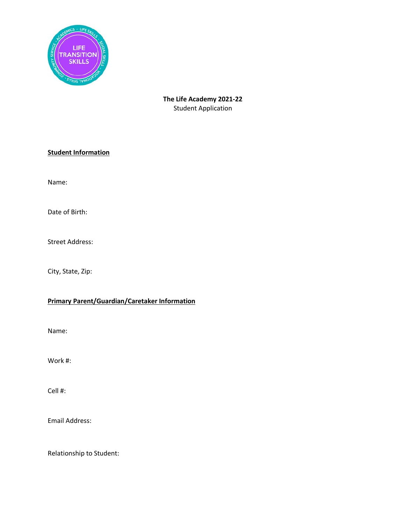

## **The Life Academy 2021-22** Student Application

### **Student Information**

Name:

Date of Birth:

Street Address:

City, State, Zip:

# **Primary Parent/Guardian/Caretaker Information**

Name:

Work #:

Cell #:

Email Address:

Relationship to Student: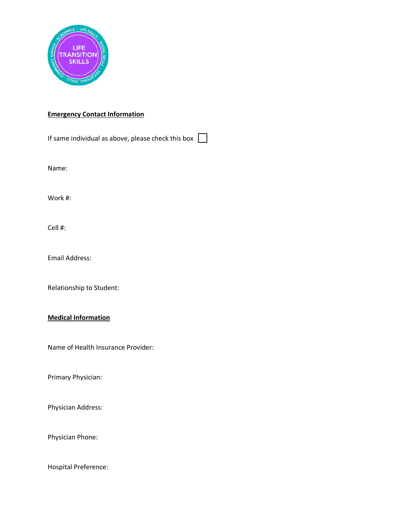

## **Emergency Contact Information**

If same individual as above, please check this box  $\Box$ 

Name:

Work #:

Cell #:

Email Address:

Relationship to Student:

#### **Medical Information**

Name of Health Insurance Provider:

Primary Physician:

Physician Address:

Physician Phone:

Hospital Preference: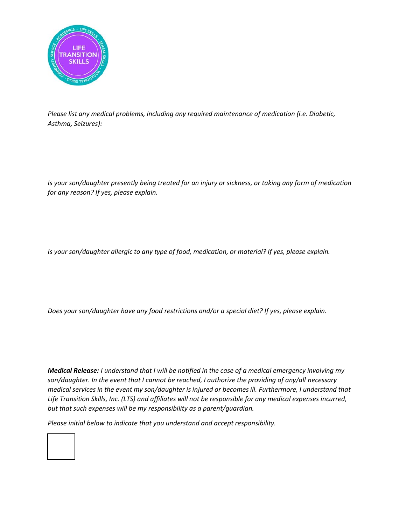

*Please list any medical problems, including any required maintenance of medication (i.e. Diabetic, Asthma, Seizures):*

*Is your son/daughter presently being treated for an injury or sickness, or taking any form of medication for any reason? If yes, please explain.*

*Is your son/daughter allergic to any type of food, medication, or material? If yes, please explain.*

*Does your son/daughter have any food restrictions and/or a special diet? If yes, please explain.*

*Medical Release: I understand that I will be notified in the case of a medical emergency involving my son/daughter. In the event that I cannot be reached, I authorize the providing of any/all necessary medical services in the event my son/daughter is injured or becomes ill. Furthermore, I understand that Life Transition Skills, Inc. (LTS) and affiliates will not be responsible for any medical expenses incurred, but that such expenses will be my responsibility as a parent/guardian.* 

*Please initial below to indicate that you understand and accept responsibility.*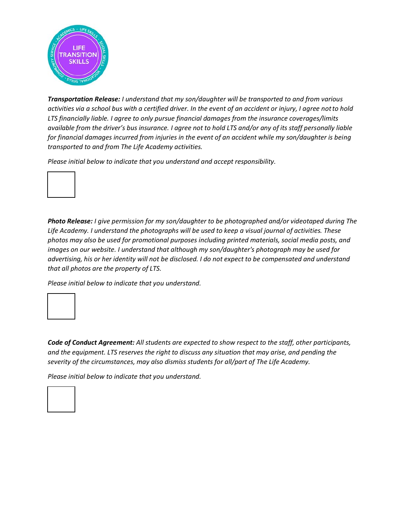

*Transportation Release: I understand that my son/daughter will be transported to and from various activities via a school bus with a certified driver. In the event of an accident or injury, I agree notto hold LTS financially liable. I agree to only pursue financial damages from the insurance coverages/limits available from the driver's bus insurance. I agree not to hold LTS and/or any of its staff personally liable for financial damages incurred from injuries in the event of an accident while my son/daughter is being transported to and from The Life Academy activities.* 

*Please initial below to indicate that you understand and accept responsibility.*



*Photo Release: I give permission for my son/daughter to be photographed and/or videotaped during The Life Academy. I understand the photographs will be used to keep a visual journal of activities. These photos may also be used for promotional purposes including printed materials, social media posts, and images on our website. I understand that although my son/daughter's photograph may be used for advertising, his or her identity will not be disclosed. I do not expect to be compensated and understand that all photos are the property of LTS.* 

*Please initial below to indicate that you understand.*



*Code of Conduct Agreement: All students are expected to show respect to the staff, other participants, and the equipment. LTS reserves the right to discuss any situation that may arise, and pending the severity of the circumstances, may also dismiss students for all/part of The Life Academy.* 

*Please initial below to indicate that you understand.*

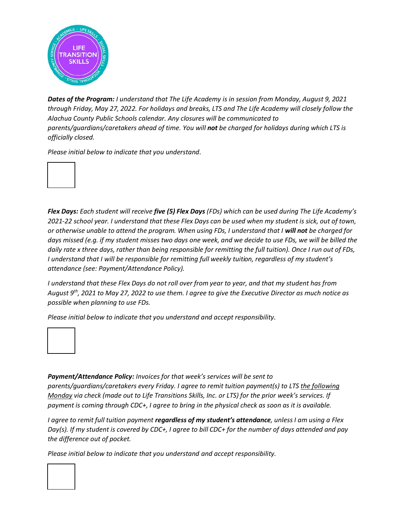

*Dates of the Program: I understand that The Life Academy is in session from Monday, August 9, 2021 through Friday, May 27, 2022. For holidays and breaks, LTS and The Life Academy will closely follow the Alachua County Public Schools calendar. Any closures will be communicated to parents/guardians/caretakers ahead of time. You will not be charged for holidays during which LTS is officially closed.*

*Please initial below to indicate that you understand.*



*Flex Days: Each student will receive five (5) Flex Days (FDs) which can be used during The Life Academy's 2021-22 school year. I understand that these Flex Days can be used when my student is sick, out of town, or otherwise unable to attend the program. When using FDs, I understand that I will not be charged for days missed (e.g. if my student misses two days one week, and we decide to use FDs, we will be billed the daily rate x three days, rather than being responsible for remitting the full tuition). Once I run out of FDs, I understand that I will be responsible for remitting full weekly tuition, regardless of my student's attendance (see: Payment/Attendance Policy).*

*I understand that these Flex Days do not roll over from year to year, and that my student has from August 9th, 2021 to May 27, 2022 to use them. I agree to give the Executive Director as much notice as possible when planning to use FDs.*

*Please initial below to indicate that you understand and accept responsibility.*



*Payment/Attendance Policy: Invoices for that week's services will be sent to parents/guardians/caretakers every Friday. I agree to remit tuition payment(s) to LTS the following Monday* via check (made out to Life Transitions Skills, Inc. or LTS) for the prior week's services. If *payment is coming through CDC+, I agree to bring in the physical check as soon as it is available.*

*I agree to remit full tuition payment regardless of my student's attendance, unless I am using a Flex Day(s). If my student is covered by CDC+, I agree to bill CDC+ for the number of days attended and pay the difference out of pocket.*

*Please initial below to indicate that you understand and accept responsibility.*